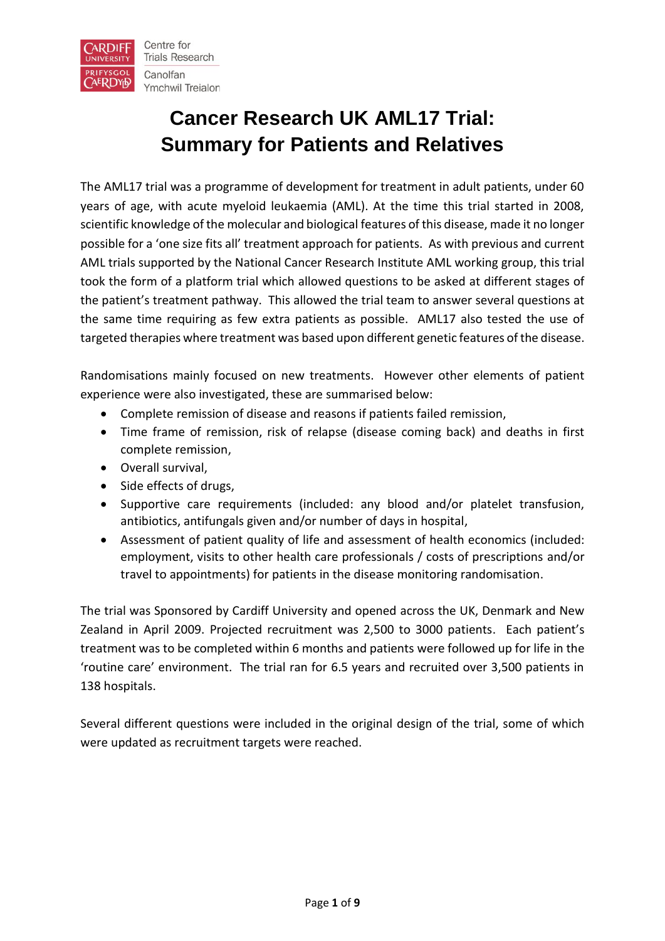

# **Cancer Research UK AML17 Trial: Summary for Patients and Relatives**

The AML17 trial was a programme of development for treatment in adult patients, under 60 years of age, with acute myeloid leukaemia (AML). At the time this trial started in 2008, scientific knowledge of the molecular and biological features of this disease, made it no longer possible for a 'one size fits all' treatment approach for patients. As with previous and current AML trials supported by the National Cancer Research Institute AML working group, this trial took the form of a platform trial which allowed questions to be asked at different stages of the patient's treatment pathway. This allowed the trial team to answer several questions at the same time requiring as few extra patients as possible. AML17 also tested the use of targeted therapies where treatment was based upon different genetic features of the disease.

Randomisations mainly focused on new treatments. However other elements of patient experience were also investigated, these are summarised below:

- Complete remission of disease and reasons if patients failed remission,
- Time frame of remission, risk of relapse (disease coming back) and deaths in first complete remission,
- Overall survival,
- Side effects of drugs,
- Supportive care requirements (included: any blood and/or platelet transfusion, antibiotics, antifungals given and/or number of days in hospital,
- Assessment of patient quality of life and assessment of health economics (included: employment, visits to other health care professionals / costs of prescriptions and/or travel to appointments) for patients in the disease monitoring randomisation.

The trial was Sponsored by Cardiff University and opened across the UK, Denmark and New Zealand in April 2009. Projected recruitment was 2,500 to 3000 patients. Each patient's treatment was to be completed within 6 months and patients were followed up for life in the 'routine care' environment. The trial ran for 6.5 years and recruited over 3,500 patients in 138 hospitals.

Several different questions were included in the original design of the trial, some of which were updated as recruitment targets were reached.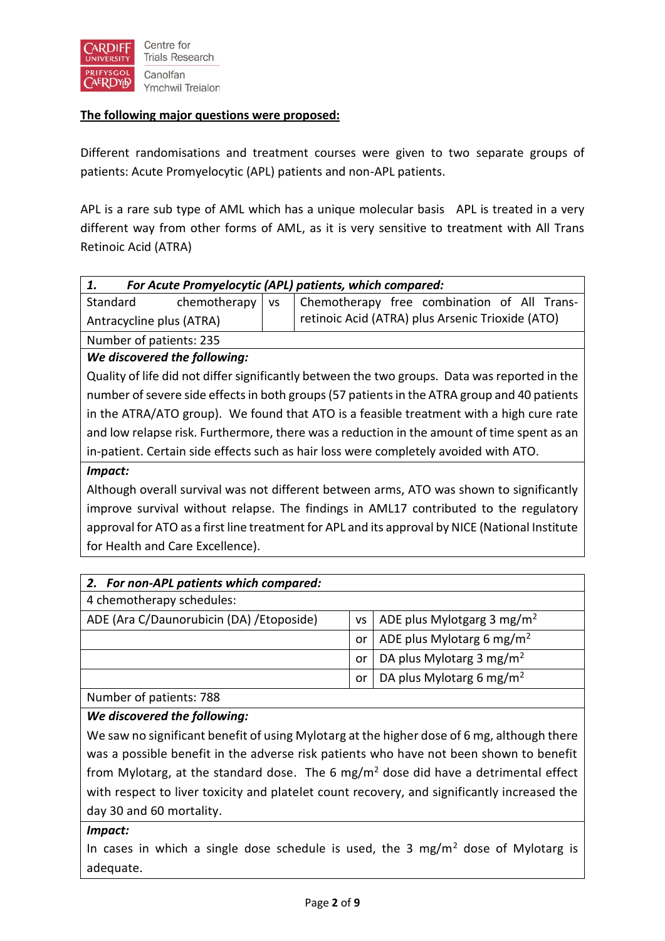

# **The following major questions were proposed:**

Different randomisations and treatment courses were given to two separate groups of patients: Acute Promyelocytic (APL) patients and non-APL patients.

APL is a rare sub type of AML which has a unique molecular basis APL is treated in a very different way from other forms of AML, as it is very sensitive to treatment with All Trans Retinoic Acid (ATRA)

| For Acute Promyelocytic (APL) patients, which compared:<br>1. |                         |  |                                                  |  |  |  |  |  |
|---------------------------------------------------------------|-------------------------|--|--------------------------------------------------|--|--|--|--|--|
| Standard                                                      | chemotherapy $\vert$ vs |  | Chemotherapy free combination of All Trans-      |  |  |  |  |  |
| Antracycline plus (ATRA)                                      |                         |  | retinoic Acid (ATRA) plus Arsenic Trioxide (ATO) |  |  |  |  |  |
| Number of patients: 235                                       |                         |  |                                                  |  |  |  |  |  |

*We discovered the following:*

Quality of life did not differ significantly between the two groups. Data was reported in the number of severe side effects in both groups(57 patients in the ATRA group and 40 patients in the ATRA/ATO group). We found that ATO is a feasible treatment with a high cure rate and low relapse risk. Furthermore, there was a reduction in the amount of time spent as an in-patient. Certain side effects such as hair loss were completely avoided with ATO.

#### *Impact:*

Although overall survival was not different between arms, ATO was shown to significantly improve survival without relapse. The findings in AML17 contributed to the regulatory approval for ATO as a first line treatment for APL and its approval by NICE (National Institute for Health and Care Excellence).

| 2. For non-APL patients which compared:   |           |                                        |
|-------------------------------------------|-----------|----------------------------------------|
| 4 chemotherapy schedules:                 |           |                                        |
| ADE (Ara C/Daunorubicin (DA) / Etoposide) | <b>VS</b> | ADE plus Mylotgarg 3 mg/m <sup>2</sup> |
|                                           | or        | ADE plus Mylotarg 6 mg/m <sup>2</sup>  |
|                                           | or        | DA plus Mylotarg 3 mg/m <sup>2</sup>   |
|                                           | or        | DA plus Mylotarg 6 mg/m <sup>2</sup>   |
| $N \sim 1$                                |           |                                        |

Number of patients: 788

## *We discovered the following:*

We saw no significant benefit of using Mylotarg at the higher dose of 6 mg, although there was a possible benefit in the adverse risk patients who have not been shown to benefit from Mylotarg, at the standard dose. The 6 mg/m<sup>2</sup> dose did have a detrimental effect with respect to liver toxicity and platelet count recovery, and significantly increased the day 30 and 60 mortality.

## *Impact:*

In cases in which a single dose schedule is used, the 3 mg/m<sup>2</sup> dose of Mylotarg is adequate.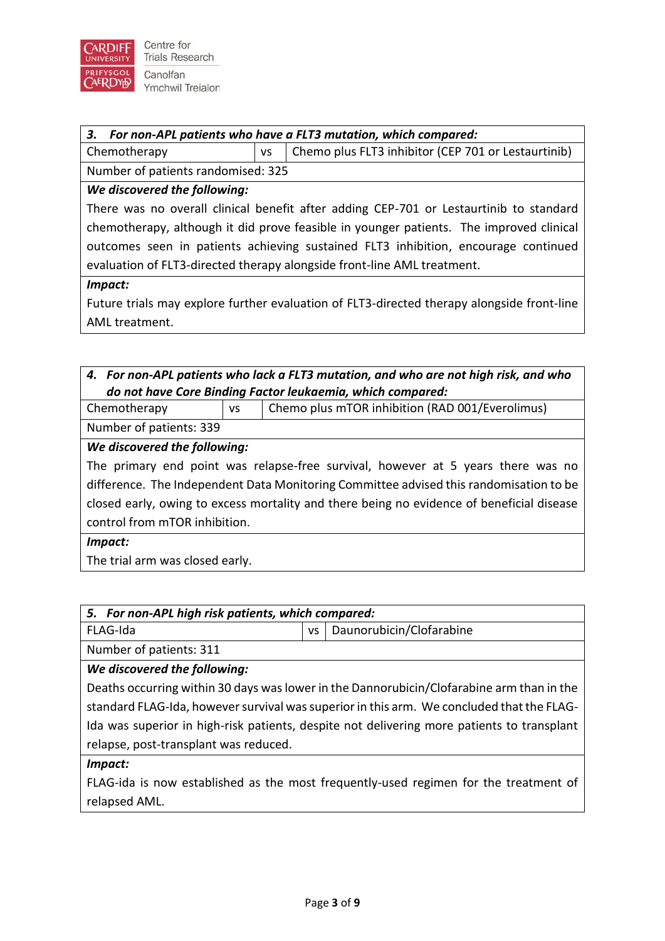

#### *3. For non-APL patients who have a FLT3 mutation, which compared:*

Chemotherapy  $\vert$  vs  $\vert$  Chemo plus FLT3 inhibitor (CEP 701 or Lestaurtinib)

Number of patients randomised: 325

# *We discovered the following:*

There was no overall clinical benefit after adding CEP-701 or Lestaurtinib to standard chemotherapy, although it did prove feasible in younger patients. The improved clinical outcomes seen in patients achieving sustained FLT3 inhibition, encourage continued evaluation of FLT3-directed therapy alongside front-line AML treatment.

#### *Impact:*

Future trials may explore further evaluation of FLT3-directed therapy alongside front-line AML treatment.

# *4. For non-APL patients who lack a FLT3 mutation, and who are not high risk, and who do not have Core Binding Factor leukaemia, which compared:*

Chemotherapy vs Chemo plus mTOR inhibition (RAD 001/Everolimus)

Number of patients: 339

# *We discovered the following:*

The primary end point was relapse-free survival, however at 5 years there was no difference. The Independent Data Monitoring Committee advised this randomisation to be closed early, owing to excess mortality and there being no evidence of beneficial disease control from mTOR inhibition.

## *Impact:*

The trial arm was closed early.

| 5. For non-APL high risk patients, which compared:                                         |                                       |  |  |  |  |
|--------------------------------------------------------------------------------------------|---------------------------------------|--|--|--|--|
| FLAG-Ida                                                                                   | Daunorubicin/Clofarabine<br><b>VS</b> |  |  |  |  |
| Number of patients: 311                                                                    |                                       |  |  |  |  |
| We discovered the following:                                                               |                                       |  |  |  |  |
| Deaths occurring within 30 days was lower in the Dannorubicin/Clofarabine arm than in the  |                                       |  |  |  |  |
| standard FLAG-Ida, however survival was superior in this arm. We concluded that the FLAG-  |                                       |  |  |  |  |
| Ida was superior in high-risk patients, despite not delivering more patients to transplant |                                       |  |  |  |  |
| relapse, post-transplant was reduced.                                                      |                                       |  |  |  |  |
|                                                                                            |                                       |  |  |  |  |

#### *Impact:*

FLAG-ida is now established as the most frequently-used regimen for the treatment of relapsed AML.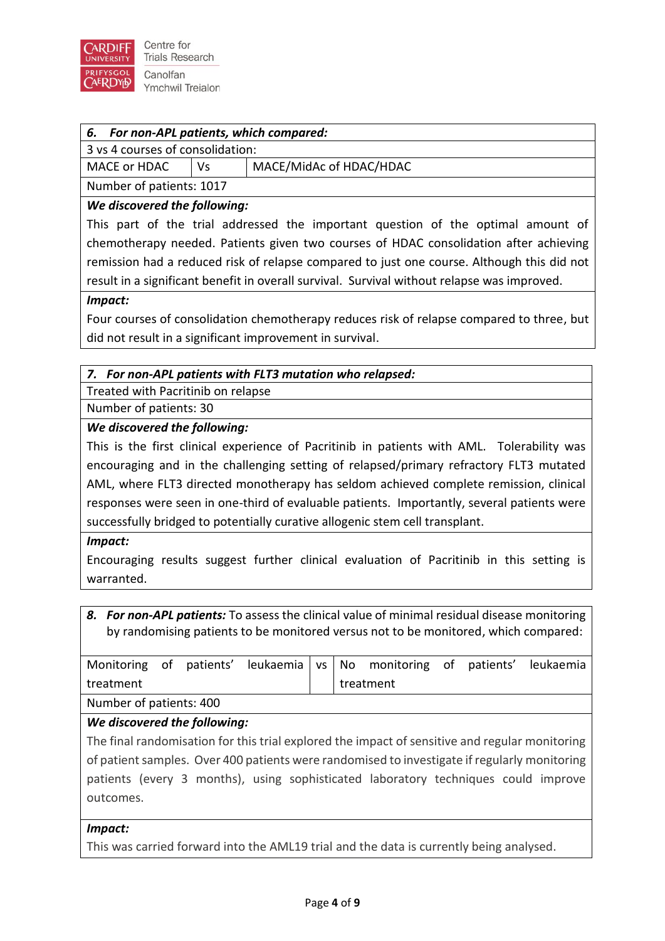

|  | 6. For non-APL patients, which compared: |  |  |  |
|--|------------------------------------------|--|--|--|
|--|------------------------------------------|--|--|--|

| 3 vs 4 courses of consolidation: |  |
|----------------------------------|--|
|----------------------------------|--|

MACE or HDAC  $\vert$  Vs  $\vert$  MACE/MidAc of HDAC/HDAC

Number of patients: 1017

# *We discovered the following:*

This part of the trial addressed the important question of the optimal amount of chemotherapy needed. Patients given two courses of HDAC consolidation after achieving remission had a reduced risk of relapse compared to just one course. Although this did not result in a significant benefit in overall survival. Survival without relapse was improved.

#### *Impact:*

Four courses of consolidation chemotherapy reduces risk of relapse compared to three, but did not result in a significant improvement in survival.

# *7. For non-APL patients with FLT3 mutation who relapsed:*

Treated with Pacritinib on relapse

Number of patients: 30

# *We discovered the following:*

This is the first clinical experience of Pacritinib in patients with AML. Tolerability was encouraging and in the challenging setting of relapsed/primary refractory FLT3 mutated AML, where FLT3 directed monotherapy has seldom achieved complete remission, clinical responses were seen in one-third of evaluable patients. Importantly, several patients were successfully bridged to potentially curative allogenic stem cell transplant.

## *Impact:*

Encouraging results suggest further clinical evaluation of Pacritinib in this setting is warranted.

*8. For non-APL patients:* To assess the clinical value of minimal residual disease monitoring by randomising patients to be monitored versus not to be monitored, which compared:

|                         |  |  |  |           |  | Monitoring of patients' leukaemia vs No monitoring of patients' leukaemia |  |  |
|-------------------------|--|--|--|-----------|--|---------------------------------------------------------------------------|--|--|
| treatment               |  |  |  | treatment |  |                                                                           |  |  |
| Number of patients: 400 |  |  |  |           |  |                                                                           |  |  |

# *We discovered the following:*

The final randomisation for this trial explored the impact of sensitive and regular monitoring of patient samples. Over 400 patients were randomised to investigate if regularly monitoring patients (every 3 months), using sophisticated laboratory techniques could improve outcomes.

## *Impact:*

This was carried forward into the AML19 trial and the data is currently being analysed.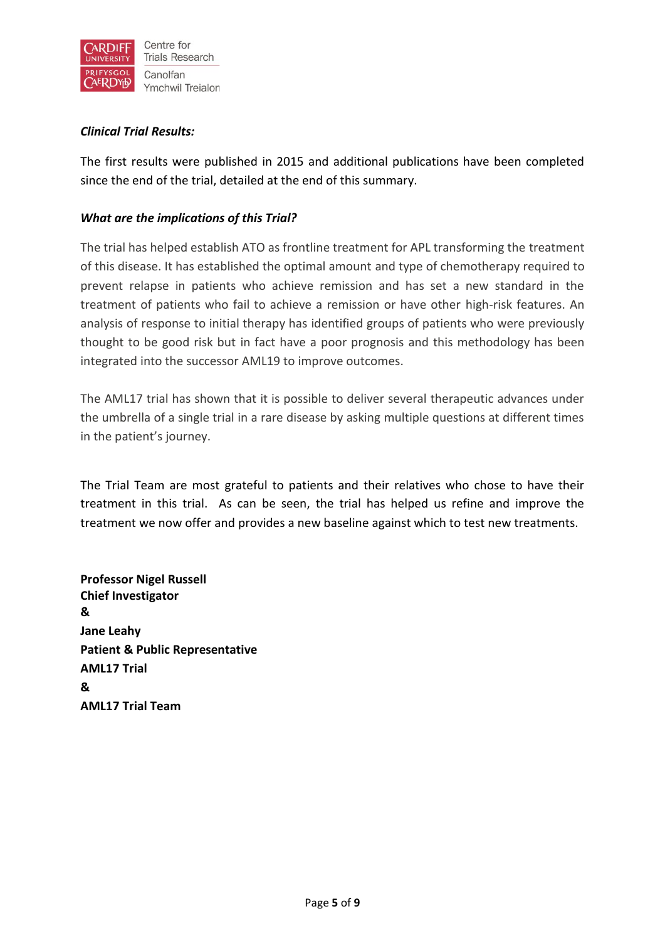

# *Clinical Trial Results:*

The first results were published in 2015 and additional publications have been completed since the end of the trial, detailed at the end of this summary.

# *What are the implications of this Trial?*

The trial has helped establish ATO as frontline treatment for APL transforming the treatment of this disease. It has established the optimal amount and type of chemotherapy required to prevent relapse in patients who achieve remission and has set a new standard in the treatment of patients who fail to achieve a remission or have other high-risk features. An analysis of response to initial therapy has identified groups of patients who were previously thought to be good risk but in fact have a poor prognosis and this methodology has been integrated into the successor AML19 to improve outcomes.

The AML17 trial has shown that it is possible to deliver several therapeutic advances under the umbrella of a single trial in a rare disease by asking multiple questions at different times in the patient's journey.

The Trial Team are most grateful to patients and their relatives who chose to have their treatment in this trial. As can be seen, the trial has helped us refine and improve the treatment we now offer and provides a new baseline against which to test new treatments.

**Professor Nigel Russell Chief Investigator & Jane Leahy Patient & Public Representative AML17 Trial & AML17 Trial Team**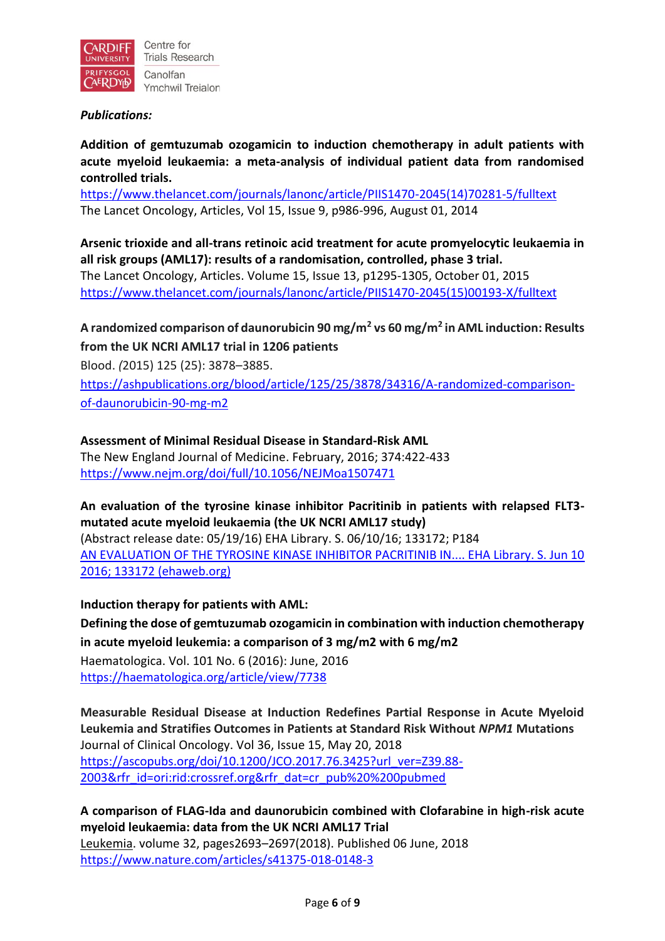

## *Publications:*

**Addition of gemtuzumab ozogamicin to induction chemotherapy in adult patients with acute myeloid leukaemia: a meta-analysis of individual patient data from randomised controlled trials.**

[https://www.thelancet.com/journals/lanonc/article/PIIS1470-2045\(14\)70281-5/fulltext](https://www.thelancet.com/journals/lanonc/article/PIIS1470-2045(14)70281-5/fulltext) The Lancet Oncology, Articles, Vol 15, Issue 9, p986-996, August 01, 2014

**Arsenic trioxide and all-trans retinoic acid treatment for acute promyelocytic leukaemia in all risk groups (AML17): results of a randomisation, controlled, phase 3 trial.**

The Lancet Oncology, Articles. Volume 15, Issue 13, p1295-1305, October 01, 2015 [https://www.thelancet.com/journals/lanonc/article/PIIS1470-2045\(15\)00193-X/fulltext](https://www.thelancet.com/journals/lanonc/article/PIIS1470-2045(15)00193-X/fulltext)

**A randomized comparison of daunorubicin 90 mg/m<sup>2</sup> vs 60 mg/m<sup>2</sup> in AML induction: Results from the UK NCRI AML17 trial in 1206 patients**

Blood. *(*2015) 125 (25): 3878–3885.

[https://ashpublications.org/blood/article/125/25/3878/34316/A-randomized-comparison](https://ashpublications.org/blood/article/125/25/3878/34316/A-randomized-comparison-of-daunorubicin-90-mg-m2)[of-daunorubicin-90-mg-m2](https://ashpublications.org/blood/article/125/25/3878/34316/A-randomized-comparison-of-daunorubicin-90-mg-m2)

# **Assessment of Minimal Residual Disease in Standard-Risk AML**

The New England Journal of Medicine. February, 2016; 374:422-433 <https://www.nejm.org/doi/full/10.1056/NEJMoa1507471>

# **An evaluation of the tyrosine kinase inhibitor Pacritinib in patients with relapsed FLT3 mutated acute myeloid leukaemia (the UK NCRI AML17 study)**

(Abstract release date: 05/19/16) EHA Library. S. 06/10/16; 133172; P184 [AN EVALUATION OF THE TYROSINE KINASE INHIBITOR PACRITINIB IN.... EHA Library. S. Jun 10](https://library.ehaweb.org/eha/2016/21st/133172/steven.an.evaluation.of.the.tyrosine.kinase.inhibitor.pacritinib.in.patients.html)  [2016; 133172 \(ehaweb.org\)](https://library.ehaweb.org/eha/2016/21st/133172/steven.an.evaluation.of.the.tyrosine.kinase.inhibitor.pacritinib.in.patients.html)

**Induction therapy for patients with AML:**

**Defining the dose of gemtuzumab ozogamicin in combination with induction chemotherapy in acute myeloid leukemia: a comparison of 3 mg/m2 with 6 mg/m2** Haematologica. Vol. 101 No. 6 (2016): June, 2016 <https://haematologica.org/article/view/7738>

**Measurable Residual Disease at Induction Redefines Partial Response in Acute Myeloid Leukemia and Stratifies Outcomes in Patients at Standard Risk Without** *NPM1* **Mutations** Journal of Clinical Oncology. Vol 36, Issue 15, May 20, 2018 [https://ascopubs.org/doi/10.1200/JCO.2017.76.3425?url\\_ver=Z39.88-](https://ascopubs.org/doi/10.1200/JCO.2017.76.3425?url_ver=Z39.88-2003&rfr_id=ori:rid:crossref.org&rfr_dat=cr_pub%20%200pubmed) [2003&rfr\\_id=ori:rid:crossref.org&rfr\\_dat=cr\\_pub%20%200pubmed](https://ascopubs.org/doi/10.1200/JCO.2017.76.3425?url_ver=Z39.88-2003&rfr_id=ori:rid:crossref.org&rfr_dat=cr_pub%20%200pubmed)

**A comparison of FLAG-Ida and daunorubicin combined with Clofarabine in high-risk acute myeloid leukaemia: data from the UK NCRI AML17 Trial** [Leukemia.](https://www.nature.com/leu) volume 32, pages2693–2697(2018). Published 06 June, 2018 <https://www.nature.com/articles/s41375-018-0148-3>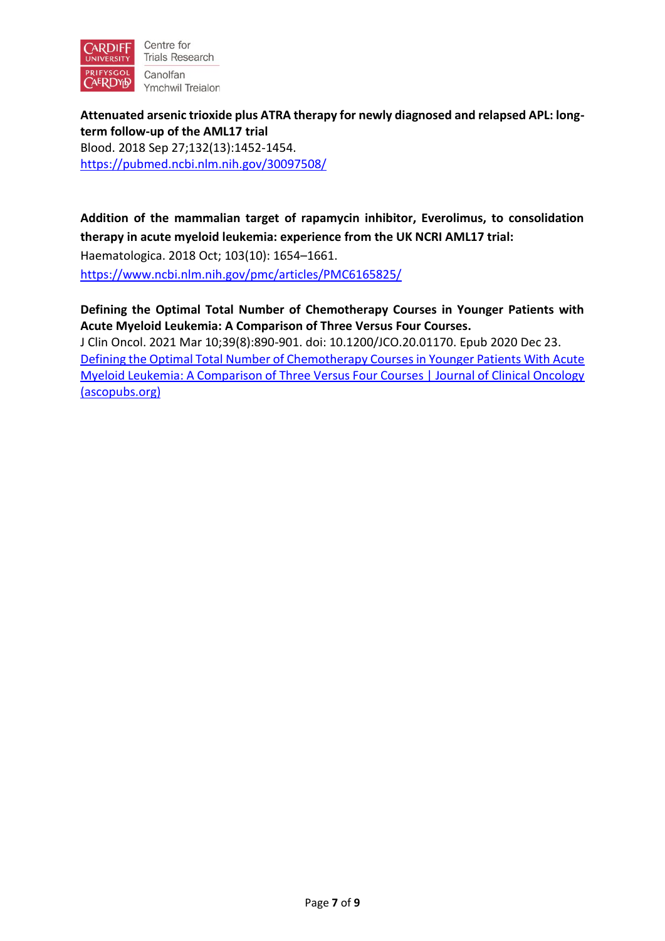

Centre for **Trials Research** Canolfan Ymchwil Treialon

**Attenuated arsenic trioxide plus ATRA therapy for newly diagnosed and relapsed APL: longterm follow-up of the AML17 trial** Blood. 2018 Sep 27;132(13):1452-1454. <https://pubmed.ncbi.nlm.nih.gov/30097508/>

**Addition of the mammalian target of rapamycin inhibitor, Everolimus, to consolidation therapy in acute myeloid leukemia: experience from the UK NCRI AML17 trial:**  Haematologica. 2018 Oct; 103(10): 1654–1661.

<https://www.ncbi.nlm.nih.gov/pmc/articles/PMC6165825/>

**Defining the Optimal Total Number of Chemotherapy Courses in Younger Patients with Acute Myeloid Leukemia: A Comparison of Three Versus Four Courses.** 

J Clin Oncol. 2021 Mar 10;39(8):890-901. doi: 10.1200/JCO.20.01170. Epub 2020 Dec 23. [Defining the Optimal Total Number of Chemotherapy Courses in Younger Patients With Acute](https://ascopubs.org/doi/full/10.1200/JCO.20.01170)  [Myeloid Leukemia: A Comparison of Three Versus Four Courses | Journal of Clinical Oncology](https://ascopubs.org/doi/full/10.1200/JCO.20.01170)  [\(ascopubs.org\)](https://ascopubs.org/doi/full/10.1200/JCO.20.01170)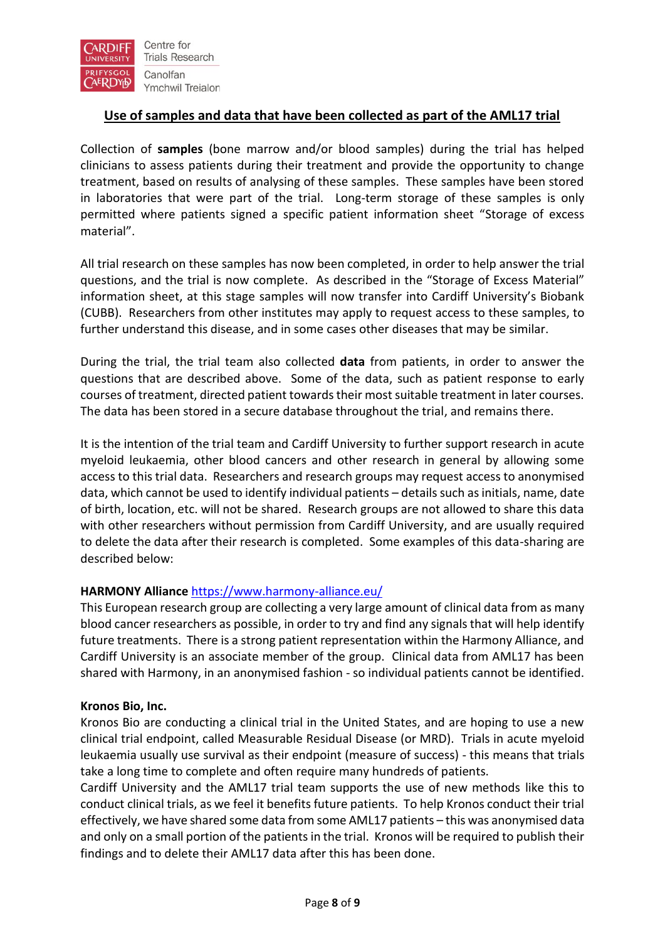

# **Use of samples and data that have been collected as part of the AML17 trial**

Collection of **samples** (bone marrow and/or blood samples) during the trial has helped clinicians to assess patients during their treatment and provide the opportunity to change treatment, based on results of analysing of these samples. These samples have been stored in laboratories that were part of the trial. Long-term storage of these samples is only permitted where patients signed a specific patient information sheet "Storage of excess material".

All trial research on these samples has now been completed, in order to help answer the trial questions, and the trial is now complete. As described in the "Storage of Excess Material" information sheet, at this stage samples will now transfer into Cardiff University's Biobank (CUBB). Researchers from other institutes may apply to request access to these samples, to further understand this disease, and in some cases other diseases that may be similar.

During the trial, the trial team also collected **data** from patients, in order to answer the questions that are described above. Some of the data, such as patient response to early courses of treatment, directed patient towards their most suitable treatment in later courses. The data has been stored in a secure database throughout the trial, and remains there.

It is the intention of the trial team and Cardiff University to further support research in acute myeloid leukaemia, other blood cancers and other research in general by allowing some access to this trial data. Researchers and research groups may request access to anonymised data, which cannot be used to identify individual patients – details such as initials, name, date of birth, location, etc. will not be shared. Research groups are not allowed to share this data with other researchers without permission from Cardiff University, and are usually required to delete the data after their research is completed. Some examples of this data-sharing are described below:

## **HARMONY Alliance** <https://www.harmony-alliance.eu/>

This European research group are collecting a very large amount of clinical data from as many blood cancer researchers as possible, in order to try and find any signals that will help identify future treatments. There is a strong patient representation within the Harmony Alliance, and Cardiff University is an associate member of the group. Clinical data from AML17 has been shared with Harmony, in an anonymised fashion - so individual patients cannot be identified.

## **Kronos Bio, Inc.**

Kronos Bio are conducting a clinical trial in the United States, and are hoping to use a new clinical trial endpoint, called Measurable Residual Disease (or MRD). Trials in acute myeloid leukaemia usually use survival as their endpoint (measure of success) - this means that trials take a long time to complete and often require many hundreds of patients.

Cardiff University and the AML17 trial team supports the use of new methods like this to conduct clinical trials, as we feel it benefits future patients. To help Kronos conduct their trial effectively, we have shared some data from some AML17 patients – this was anonymised data and only on a small portion of the patients in the trial. Kronos will be required to publish their findings and to delete their AML17 data after this has been done.